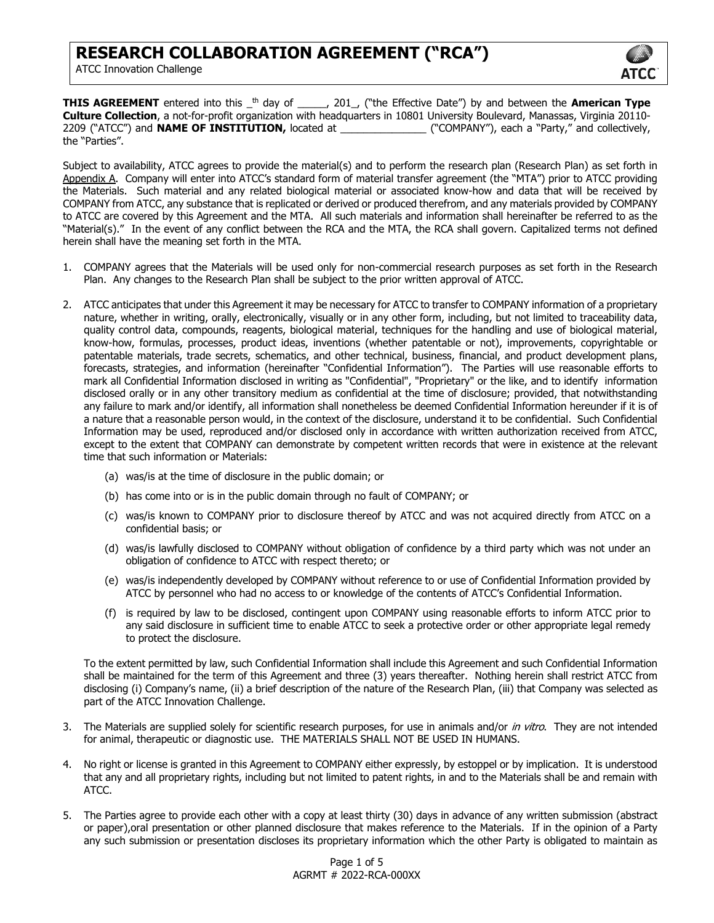

**THIS AGREEMENT** entered into this \_th day of \_\_\_\_\_, 201\_, ("the Effective Date") by and between the **American Type Culture Collection**, a not-for-profit organization with headquarters in 10801 University Boulevard, Manassas, Virginia 20110- 2209 ("ATCC") and **NAME OF INSTITUTION,** located at \_\_\_\_\_\_\_\_\_\_\_\_\_\_\_ ("COMPANY"), each a "Party," and collectively, the "Parties".

Subject to availability, ATCC agrees to provide the material(s) and to perform the research plan (Research Plan) as set forth in Appendix A. Company will enter into ATCC's standard form of material transfer agreement (the "MTA") prior to ATCC providing the Materials. Such material and any related biological material or associated know-how and data that will be received by COMPANY from ATCC, any substance that is replicated or derived or produced therefrom, and any materials provided by COMPANY to ATCC are covered by this Agreement and the MTA. All such materials and information shall hereinafter be referred to as the "Material(s)." In the event of any conflict between the RCA and the MTA, the RCA shall govern. Capitalized terms not defined herein shall have the meaning set forth in the MTA.

- 1. COMPANY agrees that the Materials will be used only for non-commercial research purposes as set forth in the Research Plan. Any changes to the Research Plan shall be subject to the prior written approval of ATCC.
- 2. ATCC anticipates that under this Agreement it may be necessary for ATCC to transfer to COMPANY information of a proprietary nature, whether in writing, orally, electronically, visually or in any other form, including, but not limited to traceability data, quality control data, compounds, reagents, biological material, techniques for the handling and use of biological material, know-how, formulas, processes, product ideas, inventions (whether patentable or not), improvements, copyrightable or patentable materials, trade secrets, schematics, and other technical, business, financial, and product development plans, forecasts, strategies, and information (hereinafter "Confidential Information"). The Parties will use reasonable efforts to mark all Confidential Information disclosed in writing as "Confidential", "Proprietary" or the like, and to identify information disclosed orally or in any other transitory medium as confidential at the time of disclosure; provided, that notwithstanding any failure to mark and/or identify, all information shall nonetheless be deemed Confidential Information hereunder if it is of a nature that a reasonable person would, in the context of the disclosure, understand it to be confidential. Such Confidential Information may be used, reproduced and/or disclosed only in accordance with written authorization received from ATCC, except to the extent that COMPANY can demonstrate by competent written records that were in existence at the relevant time that such information or Materials:
	- (a) was/is at the time of disclosure in the public domain; or
	- (b) has come into or is in the public domain through no fault of COMPANY; or
	- (c) was/is known to COMPANY prior to disclosure thereof by ATCC and was not acquired directly from ATCC on a confidential basis; or
	- (d) was/is lawfully disclosed to COMPANY without obligation of confidence by a third party which was not under an obligation of confidence to ATCC with respect thereto; or
	- (e) was/is independently developed by COMPANY without reference to or use of Confidential Information provided by ATCC by personnel who had no access to or knowledge of the contents of ATCC's Confidential Information.
	- (f) is required by law to be disclosed, contingent upon COMPANY using reasonable efforts to inform ATCC prior to any said disclosure in sufficient time to enable ATCC to seek a protective order or other appropriate legal remedy to protect the disclosure.

To the extent permitted by law, such Confidential Information shall include this Agreement and such Confidential Information shall be maintained for the term of this Agreement and three (3) years thereafter. Nothing herein shall restrict ATCC from disclosing (i) Company's name, (ii) a brief description of the nature of the Research Plan, (iii) that Company was selected as part of the ATCC Innovation Challenge.

- 3. The Materials are supplied solely for scientific research purposes, for use in animals and/or in vitro. They are not intended for animal, therapeutic or diagnostic use. THE MATERIALS SHALL NOT BE USED IN HUMANS.
- 4. No right or license is granted in this Agreement to COMPANY either expressly, by estoppel or by implication. It is understood that any and all proprietary rights, including but not limited to patent rights, in and to the Materials shall be and remain with ATCC.
- 5. The Parties agree to provide each other with a copy at least thirty (30) days in advance of any written submission (abstract or paper),oral presentation or other planned disclosure that makes reference to the Materials. If in the opinion of a Party any such submission or presentation discloses its proprietary information which the other Party is obligated to maintain as

Page 1 of 5 AGRMT # 2022-RCA-000XX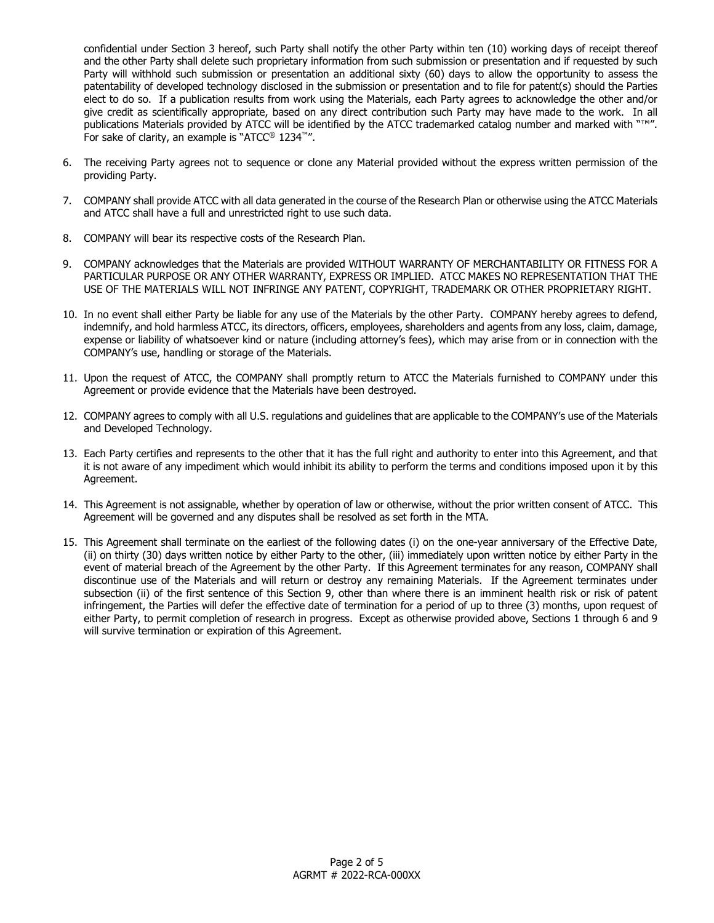confidential under Section 3 hereof, such Party shall notify the other Party within ten (10) working days of receipt thereof and the other Party shall delete such proprietary information from such submission or presentation and if requested by such Party will withhold such submission or presentation an additional sixty (60) days to allow the opportunity to assess the patentability of developed technology disclosed in the submission or presentation and to file for patent(s) should the Parties elect to do so. If a publication results from work using the Materials, each Party agrees to acknowledge the other and/or give credit as scientifically appropriate, based on any direct contribution such Party may have made to the work. In all publications Materials provided by ATCC will be identified by the ATCC trademarked catalog number and marked with "™". For sake of clarity, an example is "ATCC® 1234™".

- 6. The receiving Party agrees not to sequence or clone any Material provided without the express written permission of the providing Party.
- 7. COMPANY shall provide ATCC with all data generated in the course of the Research Plan or otherwise using the ATCC Materials and ATCC shall have a full and unrestricted right to use such data.
- 8. COMPANY will bear its respective costs of the Research Plan.
- 9. COMPANY acknowledges that the Materials are provided WITHOUT WARRANTY OF MERCHANTABILITY OR FITNESS FOR A PARTICULAR PURPOSE OR ANY OTHER WARRANTY, EXPRESS OR IMPLIED. ATCC MAKES NO REPRESENTATION THAT THE USE OF THE MATERIALS WILL NOT INFRINGE ANY PATENT, COPYRIGHT, TRADEMARK OR OTHER PROPRIETARY RIGHT.
- 10. In no event shall either Party be liable for any use of the Materials by the other Party. COMPANY hereby agrees to defend, indemnify, and hold harmless ATCC, its directors, officers, employees, shareholders and agents from any loss, claim, damage, expense or liability of whatsoever kind or nature (including attorney's fees), which may arise from or in connection with the COMPANY's use, handling or storage of the Materials.
- 11. Upon the request of ATCC, the COMPANY shall promptly return to ATCC the Materials furnished to COMPANY under this Agreement or provide evidence that the Materials have been destroyed.
- 12. COMPANY agrees to comply with all U.S. regulations and guidelines that are applicable to the COMPANY's use of the Materials and Developed Technology.
- 13. Each Party certifies and represents to the other that it has the full right and authority to enter into this Agreement, and that it is not aware of any impediment which would inhibit its ability to perform the terms and conditions imposed upon it by this Agreement.
- 14. This Agreement is not assignable, whether by operation of law or otherwise, without the prior written consent of ATCC. This Agreement will be governed and any disputes shall be resolved as set forth in the MTA.
- 15. This Agreement shall terminate on the earliest of the following dates (i) on the one-year anniversary of the Effective Date, (ii) on thirty (30) days written notice by either Party to the other, (iii) immediately upon written notice by either Party in the event of material breach of the Agreement by the other Party. If this Agreement terminates for any reason, COMPANY shall discontinue use of the Materials and will return or destroy any remaining Materials. If the Agreement terminates under subsection (ii) of the first sentence of this Section 9, other than where there is an imminent health risk or risk of patent infringement, the Parties will defer the effective date of termination for a period of up to three (3) months, upon request of either Party, to permit completion of research in progress. Except as otherwise provided above, Sections 1 through 6 and 9 will survive termination or expiration of this Agreement.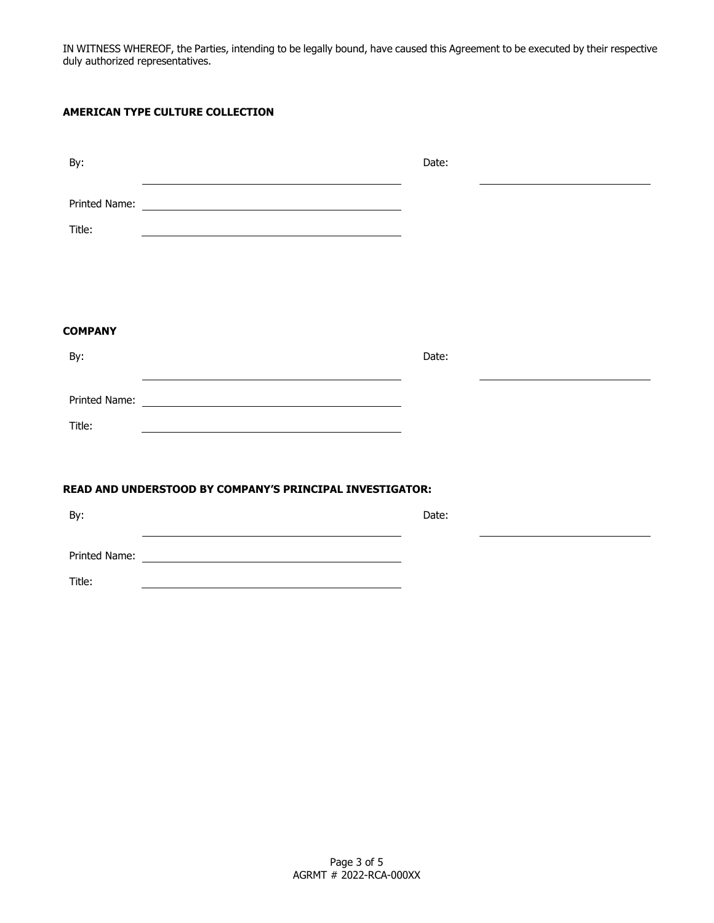IN WITNESS WHEREOF, the Parties, intending to be legally bound, have caused this Agreement to be executed by their respective duly authorized representatives.

## **AMERICAN TYPE CULTURE COLLECTION**

| By:                                                      |                                                    | Date: |  |
|----------------------------------------------------------|----------------------------------------------------|-------|--|
| Title:                                                   |                                                    |       |  |
| <b>COMPANY</b><br>By:                                    |                                                    | Date: |  |
| Title:                                                   |                                                    |       |  |
| READ AND UNDERSTOOD BY COMPANY'S PRINCIPAL INVESTIGATOR: |                                                    |       |  |
| By:                                                      |                                                    | Date: |  |
| Printed Name:                                            | <u> 1980 - John Stein, Amerikaansk politiker (</u> |       |  |
| Title:                                                   |                                                    |       |  |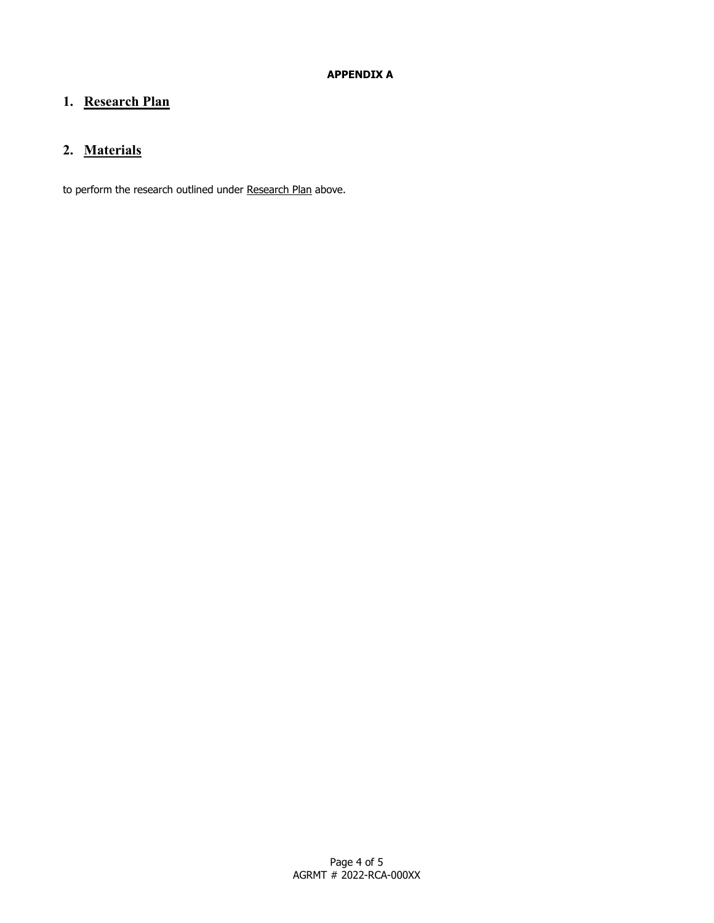## **1. Research Plan**

## **2. Materials**

to perform the research outlined under Research Plan above.